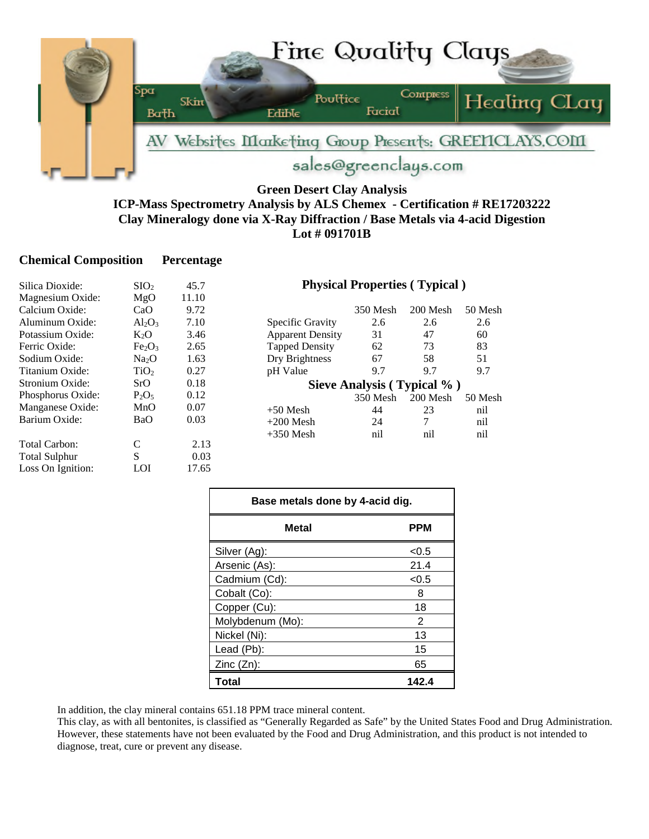

## **Green Desert Clay Analysis ICP-Mass Spectrometry Analysis by ALS Chemex - Certification # RE17203222 Clay Mineralogy done via X-Ray Diffraction / Base Metals via 4-acid Digestion Lot # 091701B**

## **Chemical Composition Percentage**

| Silica Dioxide:      | SIO <sub>2</sub>               | 45.7  | <b>Physical Properties (Typical)</b> |                            |            |         |
|----------------------|--------------------------------|-------|--------------------------------------|----------------------------|------------|---------|
| Magnesium Oxide:     | MgO                            | 11.10 |                                      |                            |            |         |
| Calcium Oxide:       | CaO                            | 9.72  |                                      | 350 Mesh                   | $200$ Mesh | 50 Mesh |
| Aluminum Oxide:      | $Al_2O_3$                      | 7.10  | Specific Gravity                     | 2.6                        | 2.6        | 2.6     |
| Potassium Oxide:     | $K_2O$                         | 3.46  | <b>Apparent Density</b>              | 31                         | 47         | 60      |
| Ferric Oxide:        | Fe <sub>2</sub> O <sub>3</sub> | 2.65  | <b>Tapped Density</b>                | 62                         | 73         | 83      |
| Sodium Oxide:        | Na <sub>2</sub> O              | 1.63  | Dry Brightness                       | 67                         | 58         | 51      |
| Titanium Oxide:      | TiO <sub>2</sub>               | 0.27  | pH Value                             | 9.7                        | 9.7        | 9.7     |
| Stronium Oxide:      | SrO                            | 0.18  |                                      | Sieve Analysis (Typical %) |            |         |
| Phosphorus Oxide:    | $P_2O_5$                       | 0.12  |                                      | 350 Mesh                   | 200 Mesh   | 50 Mesh |
| Manganese Oxide:     | MnO                            | 0.07  | $+50$ Mesh                           | 44                         | 23         | nil     |
| Barium Oxide:        | BaO                            | 0.03  | $+200$ Mesh                          | 24                         | 7          | nil     |
|                      |                                |       | $+350$ Mesh                          | nil                        | nil        | nil     |
| Total Carbon:        | C                              | 2.13  |                                      |                            |            |         |
| <b>Total Sulphur</b> | S                              | 0.03  |                                      |                            |            |         |
| Loss On Ignition:    | LOI                            | 17.65 |                                      |                            |            |         |

| Base metals done by 4-acid dig. |            |  |  |  |
|---------------------------------|------------|--|--|--|
| Metal                           | <b>PPM</b> |  |  |  |
| Silver (Ag):                    | < 0.5      |  |  |  |
| Arsenic (As):                   | 21.4       |  |  |  |
| Cadmium (Cd):                   | < 0.5      |  |  |  |
| Cobalt (Co):                    | 8          |  |  |  |
| Copper (Cu):                    | 18         |  |  |  |
| Molybdenum (Mo):                | 2          |  |  |  |
| Nickel (Ni):                    | 13         |  |  |  |
| Lead (Pb):                      | 15         |  |  |  |
| $Zinc(Zn)$ :                    | 65         |  |  |  |
| Total                           | 142.4      |  |  |  |

In addition, the clay mineral contains 651.18 PPM trace mineral content.

This clay, as with all bentonites, is classified as "Generally Regarded as Safe" by the United States Food and Drug Administration. However, these statements have not been evaluated by the Food and Drug Administration, and this product is not intended to diagnose, treat, cure or prevent any disease.